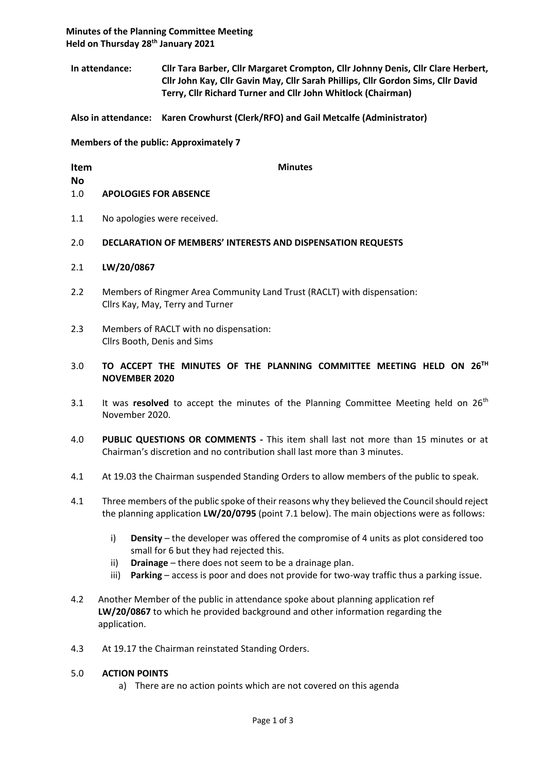**Minutes of the Planning Committee Meeting Held on Thursday 28th January 2021**

**In attendance: Cllr Tara Barber, Cllr Margaret Crompton, Cllr Johnny Denis, Cllr Clare Herbert, Cllr John Kay, Cllr Gavin May, Cllr Sarah Phillips, Cllr Gordon Sims, Cllr David Terry, Cllr Richard Turner and Cllr John Whitlock (Chairman)**

**Also in attendance: Karen Crowhurst (Clerk/RFO) and Gail Metcalfe (Administrator)**

**Members of the public: Approximately 7**

| Item |                              | <b>Minutes</b> |
|------|------------------------------|----------------|
| No   |                              |                |
| 1.0  | <b>APOLOGIES FOR ABSENCE</b> |                |
|      |                              |                |

- 1.1 No apologies were received.
- 2.0 **DECLARATION OF MEMBERS' INTERESTS AND DISPENSATION REQUESTS**
- 2.1 **LW/20/0867**
- 2.2 Members of Ringmer Area Community Land Trust (RACLT) with dispensation: Cllrs Kay, May, Terry and Turner
- 2.3 Members of RACLT with no dispensation: Cllrs Booth, Denis and Sims
- 3.0 **TO ACCEPT THE MINUTES OF THE PLANNING COMMITTEE MEETING HELD ON 26TH NOVEMBER 2020**
- 3.1 It was **resolved** to accept the minutes of the Planning Committee Meeting held on 26<sup>th</sup> November 2020.
- 4.0 **PUBLIC QUESTIONS OR COMMENTS -** This item shall last not more than 15 minutes or at Chairman's discretion and no contribution shall last more than 3 minutes.
- 4.1 At 19.03 the Chairman suspended Standing Orders to allow members of the public to speak.
- 4.1 Three members of the public spoke of their reasons why they believed the Council should reject the planning application **LW/20/0795** (point 7.1 below). The main objections were as follows:
	- i) **Density** the developer was offered the compromise of 4 units as plot considered too small for 6 but they had rejected this.
	- ii) **Drainage** there does not seem to be a drainage plan.
	- iii) **Parking** access is poor and does not provide for two-way traffic thus a parking issue.
- 4.2 Another Member of the public in attendance spoke about planning application ref **LW/20/0867** to which he provided background and other information regarding the application.
- 4.3 At 19.17 the Chairman reinstated Standing Orders.

#### 5.0 **ACTION POINTS**

a) There are no action points which are not covered on this agenda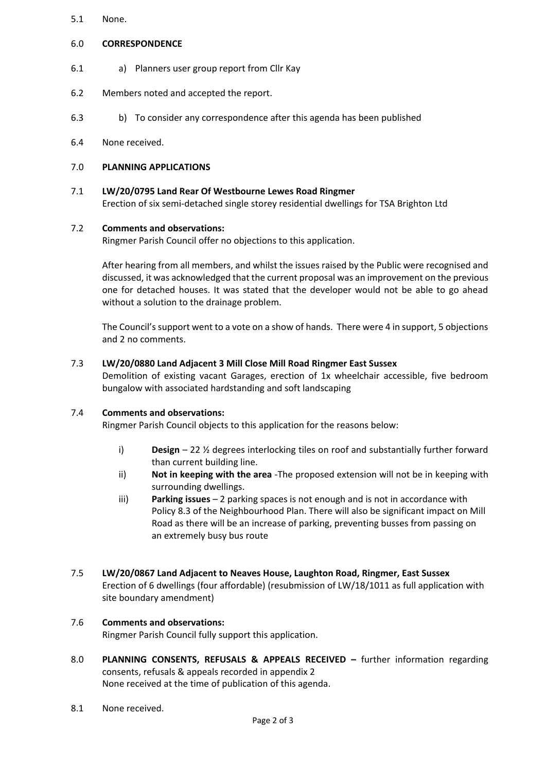- 5.1 None.
- 6.0 **CORRESPONDENCE**
- 6.1 a) Planners user group report from Cllr Kay
- 6.2 Members noted and accepted the report.
- 6.3 b) To consider any correspondence after this agenda has been published
- 6.4 None received.

## 7.0 **PLANNING APPLICATIONS**

# 7.1 **LW/20/0795 Land Rear Of Westbourne Lewes Road Ringmer**

Erection of six semi-detached single storey residential dwellings for TSA Brighton Ltd

## 7.2 **Comments and observations:**

Ringmer Parish Council offer no objections to this application.

After hearing from all members, and whilst the issues raised by the Public were recognised and discussed, it was acknowledged that the current proposal was an improvement on the previous one for detached houses. It was stated that the developer would not be able to go ahead without a solution to the drainage problem.

The Council's support went to a vote on a show of hands. There were 4 in support, 5 objections and 2 no comments.

## 7.3 **LW/20/0880 Land Adjacent 3 Mill Close Mill Road Ringmer East Sussex**

Demolition of existing vacant Garages, erection of 1x wheelchair accessible, five bedroom bungalow with associated hardstanding and soft landscaping

#### 7.4 **Comments and observations:**

Ringmer Parish Council objects to this application for the reasons below:

- i) **Design** 22 ½ degrees interlocking tiles on roof and substantially further forward than current building line.
- ii) **Not in keeping with the area** -The proposed extension will not be in keeping with surrounding dwellings.
- iii) **Parking issues** 2 parking spaces is not enough and is not in accordance with Policy 8.3 of the Neighbourhood Plan. There will also be significant impact on Mill Road as there will be an increase of parking, preventing busses from passing on an extremely busy bus route

#### 7.5 **LW/20/0867 Land Adjacent to Neaves House, Laughton Road, Ringmer, East Sussex** Erection of 6 dwellings (four affordable) (resubmission of LW/18/1011 as full application with site boundary amendment)

# 7.6 **Comments and observations:**

Ringmer Parish Council fully support this application.

- 8.0 **PLANNING CONSENTS, REFUSALS & APPEALS RECEIVED –** further information regarding consents, refusals & appeals recorded in appendix 2 None received at the time of publication of this agenda.
- 8.1 None received.